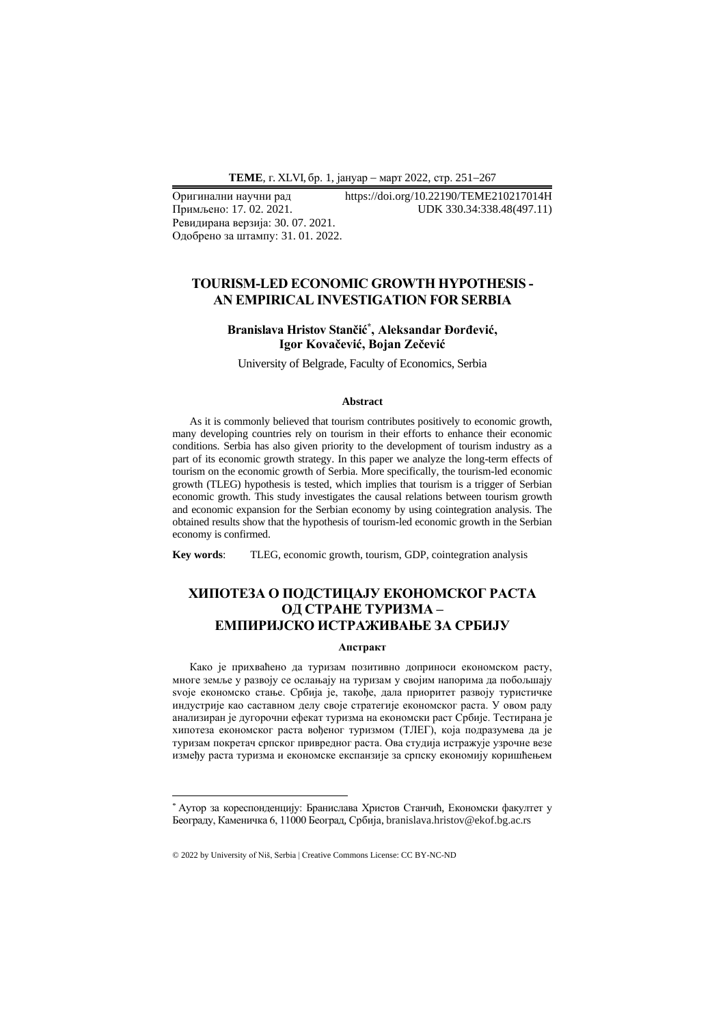Ревидирана верзија: 30. 07. 2021. Одобрено за штампу: 31. 01. 2022.

Оригинални научни рад https://doi.org/10.22190/TEME210217014H UDK 330.34:338.48(497.11)

## **TOURISM-LED ECONOMIC GROWTH HYPOTHESIS - AN EMPIRICAL INVESTIGATION FOR SERBIA**

### **Branislava Hristov Stančić\* , Aleksandar Đorđević, Igor Kovačević, Bojan Zečević**

University of Belgrade, Faculty of Economics, Serbia

#### **Abstract**

As it is commonly believed that tourism contributes positively to economic growth, many developing countries rely on tourism in their efforts to enhance their economic conditions. Serbia has also given priority to the development of tourism industry as a part of its economic growth strategy. In this paper we analyze the long-term effects of tourism on the economic growth of Serbia. More specifically, the tourism-led economic growth (TLEG) hypothesis is tested, which implies that tourism is a trigger of Serbian economic growth. This study investigates the causal relations between tourism growth and economic expansion for the Serbian economy by using cointegration analysis. The obtained results show that the hypothesis of tourism-led economic growth in the Serbian economy is confirmed.

**Key words**: TLEG, economic growth, tourism, GDP, cointegration analysis

# **ХИПОТЕЗA О ПОДСТИЦАЈУ ЕКОНОМСКОГ РАСТА ОД СТРАНЕ ТУРИЗМА – ЕМПИРИЈСКО ИСТРАЖИВАЊЕ ЗА СРБИЈУ**

#### **Апстракт**

Како је прихваћено да туризам позитивно доприноси економском расту, многе земље у развоју се ослањају на туризам у својим напорима да побољшају svoje економско стање. Србија је, такође, дала приоритет развоју туристичке индустрије као саставном делу своје стратегије економског раста. У овом раду анализиран је дугорочни ефекат туризма на економски раст Србије. Тестирана је хипотеза економског раста вођеног туризмом (ТЛЕГ), која подразумева да је туризам покретач српског привредног раста. Ова студија истражује узрочне везе између раста туризма и економске експанзије за српску економију коришћењем

<sup>\*</sup> Аутор за кореспонденцију: Бранислава Христов Станчић, Економски факултет у Београду, Каменичка 6, 11000 Београд, Србија, branislava.hristov@ekof.bg.ac.rs

<sup>© 2022</sup> by University of Niš, Serbia | Creative Commons License: CC BY-NC-ND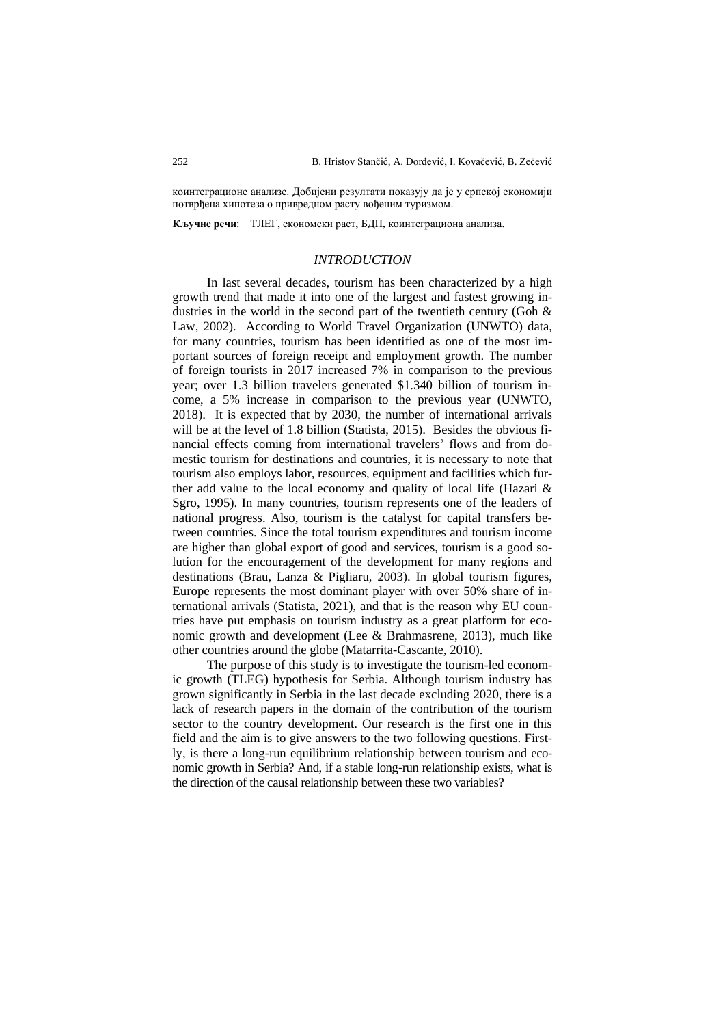коинтеграционе анализе. Добијени резултати показују да је у српској економији потврђена хипотеза о привредном расту вођеним туризмом.

**Кључне речи**: ТЛЕГ, економски раст, БДП, коинтеграциона анализа.

### *INTRODUCTION*

In last several decades, tourism has been characterized by a high growth trend that made it into one of the largest and fastest growing industries in the world in the second part of the twentieth century (Goh & Law, 2002). According to World Travel Organization (UNWTO) data, for many countries, tourism has been identified as one of the most important sources of foreign receipt and employment growth. The number of foreign tourists in 2017 increased 7% in comparison to the previous year; over 1.3 billion travelers generated \$1.340 billion of tourism income, a 5% increase in comparison to the previous year (UNWTO, 2018). It is expected that by 2030, the number of international arrivals will be at the level of 1.8 billion (Statista, 2015). Besides the obvious financial effects coming from international travelers' flows and from domestic tourism for destinations and countries, it is necessary to note that tourism also employs labor, resources, equipment and facilities which further add value to the local economy and quality of local life (Hazari & Sgro, 1995). In many countries, tourism represents one of the leaders of national progress. Also, tourism is the catalyst for capital transfers between countries. Since the total tourism expenditures and tourism income are higher than global export of good and services, tourism is a good solution for the encouragement of the development for many regions and destinations (Brau, Lanza & Pigliaru, 2003). In global tourism figures, Europe represents the most dominant player with over 50% share of international arrivals (Statista, 2021), and that is the reason why EU countries have put emphasis on tourism industry as a great platform for economic growth and development (Lee & Brahmasrene, 2013), much like other countries around the globe (Matarrita-Cascante, 2010).

The purpose of this study is to investigate the tourism-led economic growth (TLEG) hypothesis for Serbia. Although tourism industry has grown significantly in Serbia in the last decade excluding 2020, there is a lack of research papers in the domain of the contribution of the tourism sector to the country development. Our research is the first one in this field and the aim is to give answers to the two following questions. Firstly, is there a long-run equilibrium relationship between tourism and economic growth in Serbia? And, if a stable long-run relationship exists, what is the direction of the causal relationship between these two variables?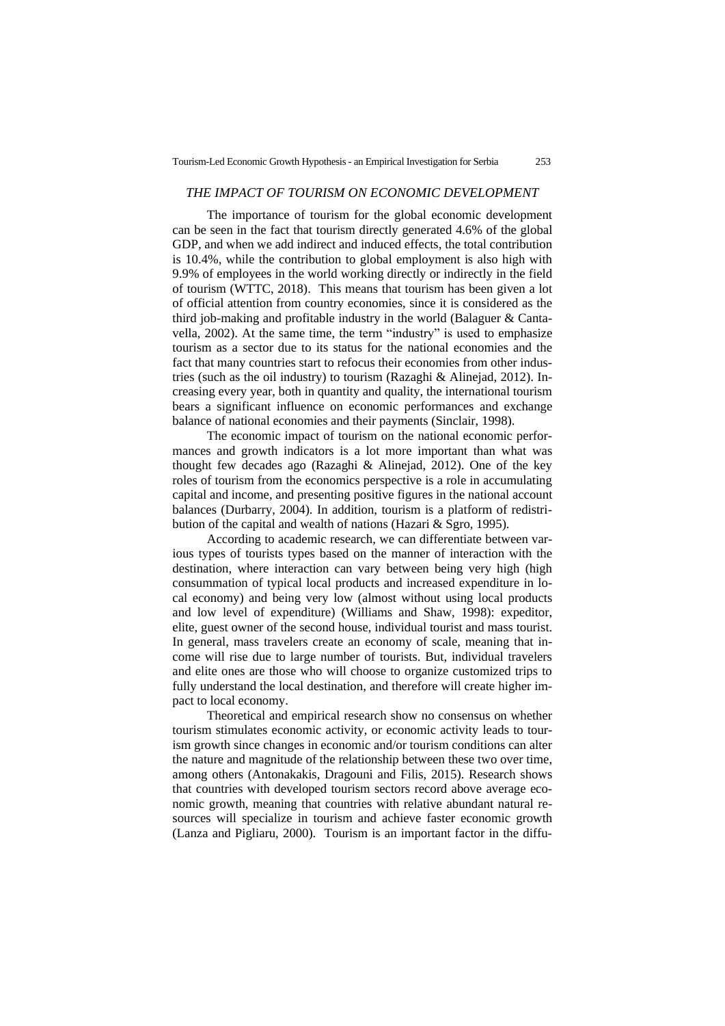### *THE IMPACT OF TOURISM ON ECONOMIC DEVELOPMENT*

The importance of tourism for the global economic development can be seen in the fact that tourism directly generated 4.6% of the global GDP, and when we add indirect and induced effects, the total contribution is 10.4%, while the contribution to global employment is also high with 9.9% of employees in the world working directly or indirectly in the field of tourism (WTTC, 2018). This means that tourism has been given a lot of official attention from country economies, since it is considered as the third job-making and profitable industry in the world (Balaguer & Cantavella, 2002). At the same time, the term "industry" is used to emphasize tourism as a sector due to its status for the national economies and the fact that many countries start to refocus their economies from other industries (such as the oil industry) to tourism (Razaghi & Alinejad, 2012). Increasing every year, both in quantity and quality, the international tourism bears a significant influence on economic performances and exchange balance of national economies and their payments (Sinclair, 1998).

The economic impact of tourism on the national economic performances and growth indicators is a lot more important than what was thought few decades ago (Razaghi & Alinejad, 2012). One of the key roles of tourism from the economics perspective is a role in accumulating capital and income, and presenting positive figures in the national account balances (Durbarry, 2004). In addition, tourism is a platform of redistribution of the capital and wealth of nations (Hazari & Sgro, 1995).

According to academic research, we can differentiate between various types of tourists types based on the manner of interaction with the destination, where interaction can vary between being very high (high consummation of typical local products and increased expenditure in local economy) and being very low (almost without using local products and low level of expenditure) (Williams and Shaw, 1998): expeditor, elite, guest owner of the second house, individual tourist and mass tourist. In general, mass travelers create an economy of scale, meaning that income will rise due to large number of tourists. But, individual travelers and elite ones are those who will choose to organize customized trips to fully understand the local destination, and therefore will create higher impact to local economy.

Theoretical and empirical research show no consensus on whether tourism stimulates economic activity, or economic activity leads to tourism growth since changes in economic and/or tourism conditions can alter the nature and magnitude of the relationship between these two over time, among others (Antonakakis, Dragouni and Filis, 2015). Research shows that countries with developed tourism sectors record above average economic growth, meaning that countries with relative abundant natural resources will specialize in tourism and achieve faster economic growth (Lanza and Pigliaru, 2000). Tourism is an important factor in the diffu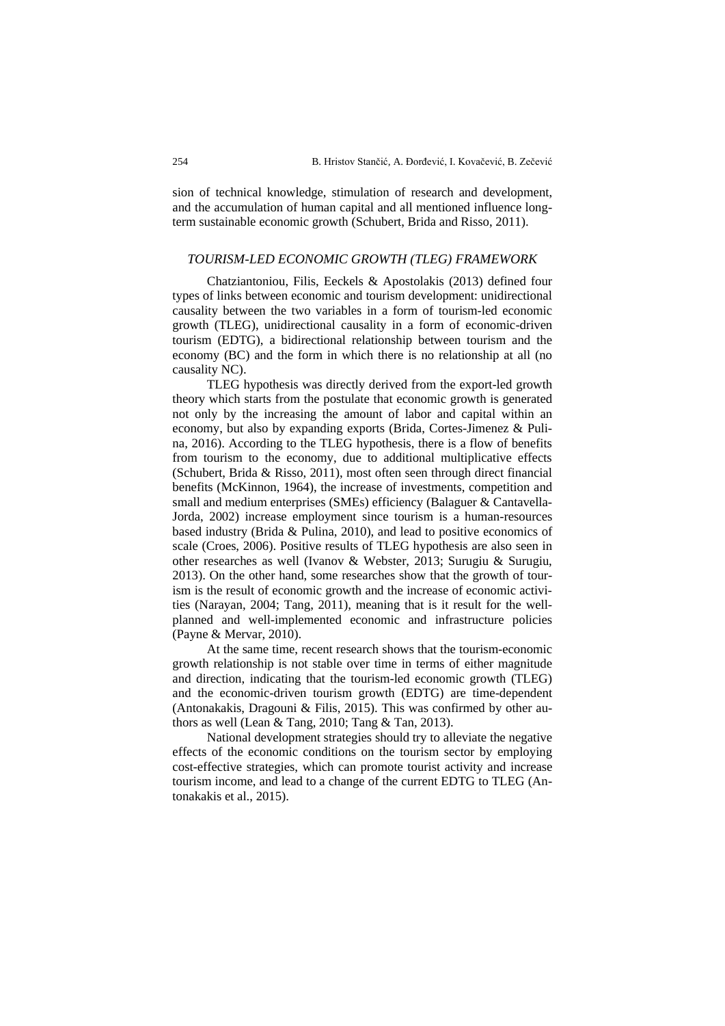sion of technical knowledge, stimulation of research and development, and the accumulation of human capital and all mentioned influence longterm sustainable economic growth (Schubert, Brida and Risso, 2011).

### *TOURISM-LED ECONOMIC GROWTH (TLEG) FRAMEWORK*

Chatziantoniou, Filis, Eeckels & Apostolakis (2013) defined four types of links between economic and tourism development: unidirectional causality between the two variables in a form of tourism-led economic growth (TLEG), unidirectional causality in a form of economic-driven tourism (EDTG), a bidirectional relationship between tourism and the economy (BC) and the form in which there is no relationship at all (no causality NC).

TLEG hypothesis was directly derived from the export-led growth theory which starts from the postulate that economic growth is generated not only by the increasing the amount of labor and capital within an economy, but also by expanding exports (Brida, Cortes-Jimenez & Pulina, 2016). According to the TLEG hypothesis, there is a flow of benefits from tourism to the economy, due to additional multiplicative effects (Schubert, Brida & Risso, 2011), most often seen through direct financial benefits (McKinnon, 1964), the increase of investments, competition and small and medium enterprises (SMEs) efficiency (Balaguer & Cantavella-Jorda, 2002) increase employment since tourism is a human-resources based industry (Brida & Pulina, 2010), and lead to positive economics of scale (Croes, 2006). Positive results of TLEG hypothesis are also seen in other researches as well (Ivanov & Webster, 2013; Surugiu & Surugiu, 2013). On the other hand, some researches show that the growth of tourism is the result of economic growth and the increase of economic activities (Narayan, 2004; Tang, 2011), meaning that is it result for the wellplanned and well-implemented economic and infrastructure policies (Payne & Mervar, 2010).

At the same time, recent research shows that the tourism-economic growth relationship is not stable over time in terms of either magnitude and direction, indicating that the tourism-led economic growth (TLEG) and the economic-driven tourism growth (EDTG) are time-dependent (Antonakakis, Dragouni & Filis, 2015). This was confirmed by other authors as well (Lean & Tang, 2010; Tang & Tan, 2013).

National development strategies should try to alleviate the negative effects of the economic conditions on the tourism sector by employing cost-effective strategies, which can promote tourist activity and increase tourism income, and lead to a change of the current EDTG to TLEG (Antonakakis et al., 2015).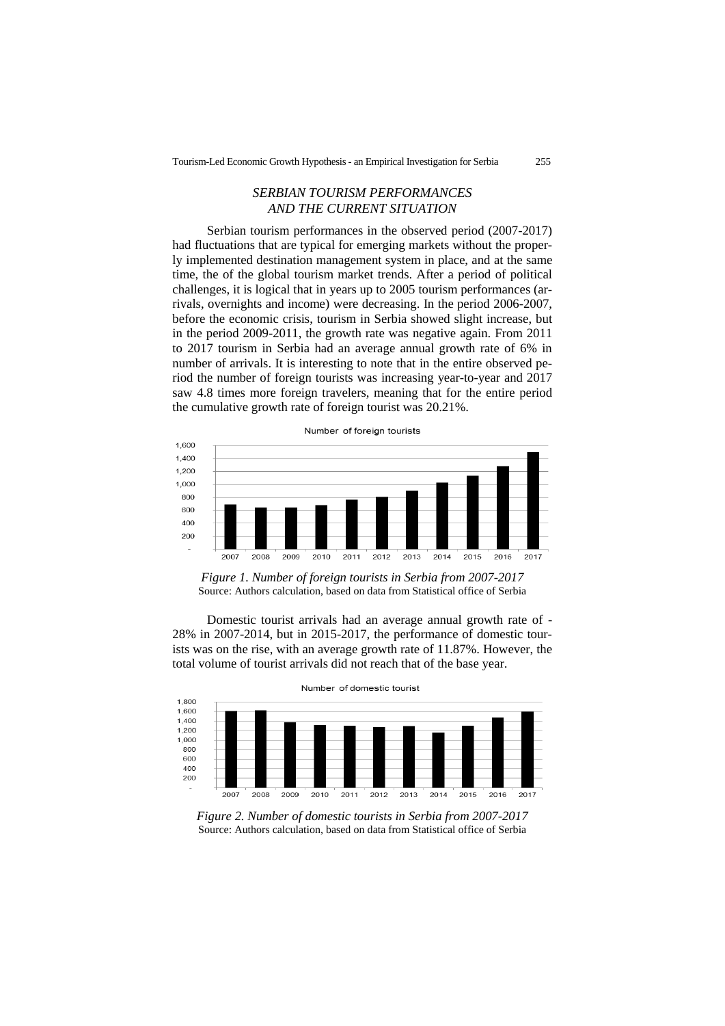## *SERBIAN TOURISM PERFORMANCES AND THE CURRENT SITUATION*

Serbian tourism performances in the observed period (2007-2017) had fluctuations that are typical for emerging markets without the properly implemented destination management system in place, and at the same time, the of the global tourism market trends. After a period of political challenges, it is logical that in years up to 2005 tourism performances (arrivals, overnights and income) were decreasing. In the period 2006-2007, before the economic crisis, tourism in Serbia showed slight increase, but in the period 2009-2011, the growth rate was negative again. From 2011 to 2017 tourism in Serbia had an average annual growth rate of 6% in number of arrivals. It is interesting to note that in the entire observed period the number of foreign tourists was increasing year-to-year and 2017 saw 4.8 times more foreign travelers, meaning that for the entire period the cumulative growth rate of foreign tourist was 20.21%.



*Figure 1. Number of foreign tourists in Serbia from 2007-2017* Source: Authors calculation, based on data from Statistical office of Serbia

Domestic tourist arrivals had an average annual growth rate of - 28% in 2007-2014, but in 2015-2017, the performance of domestic tourists was on the rise, with an average growth rate of 11.87%. However, the total volume of tourist arrivals did not reach that of the base year.



*Figure 2. Number of domestic tourists in Serbia from 2007-2017* Source: Authors calculation, based on data from Statistical office of Serbia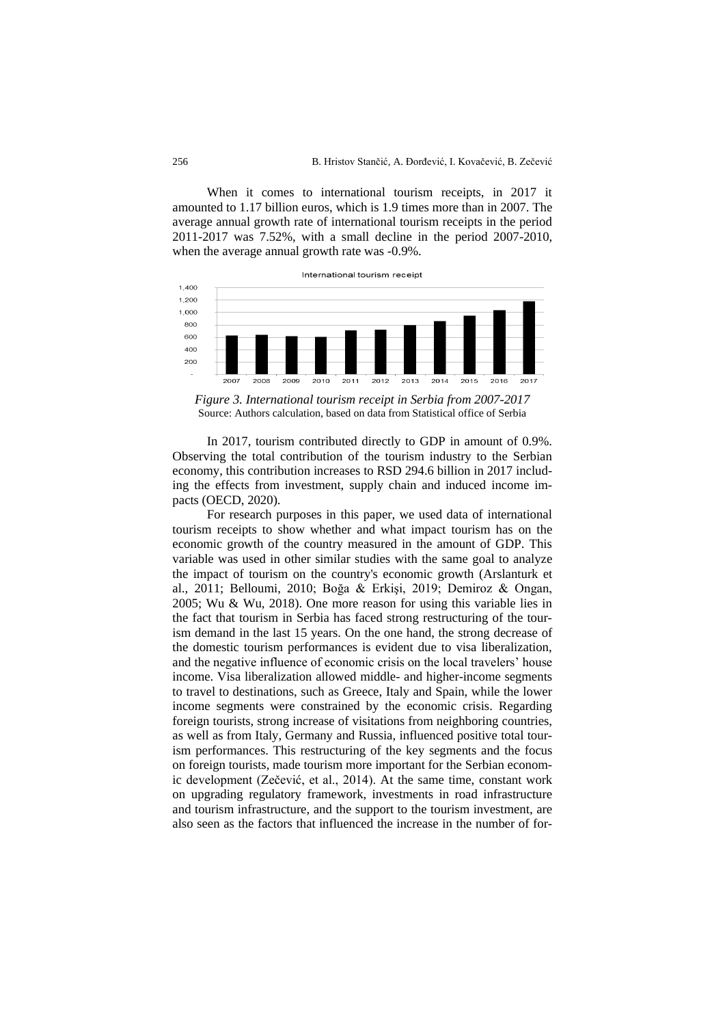When it comes to international tourism receipts, in 2017 it amounted to 1.17 billion euros, which is 1.9 times more than in 2007. The average annual growth rate of international tourism receipts in the period 2011-2017 was 7.52%, with a small decline in the period 2007-2010, when the average annual growth rate was -0.9%.



*Figure 3. International tourism receipt in Serbia from 2007-2017* Source: Authors calculation, based on data from Statistical office of Serbia

In 2017, tourism contributed directly to GDP in amount of 0.9%. Observing the total contribution of the tourism industry to the Serbian economy, this contribution increases to RSD 294.6 billion in 2017 including the effects from investment, supply chain and induced income impacts (OECD, 2020).

For research purposes in this paper, we used data of international tourism receipts to show whether and what impact tourism has on the economic growth of the country measured in the amount of GDP. This variable was used in other similar studies with the same goal to analyze the impact of tourism on the country's economic growth (Arslanturk et al., 2011; Belloumi, 2010; Boğa & Erkişi, 2019; Demiroz & Ongan, 2005; Wu & Wu, 2018). One more reason for using this variable lies in the fact that tourism in Serbia has faced strong restructuring of the tourism demand in the last 15 years. On the one hand, the strong decrease of the domestic tourism performances is evident due to visa liberalization, and the negative influence of economic crisis on the local travelers' house income. Visa liberalization allowed middle- and higher-income segments to travel to destinations, such as Greece, Italy and Spain, while the lower income segments were constrained by the economic crisis. Regarding foreign tourists, strong increase of visitations from neighboring countries, as well as from Italy, Germany and Russia, influenced positive total tourism performances. This restructuring of the key segments and the focus on foreign tourists, made tourism more important for the Serbian economic development (Zečević, et al., 2014). At the same time, constant work on upgrading regulatory framework, investments in road infrastructure and tourism infrastructure, and the support to the tourism investment, are also seen as the factors that influenced the increase in the number of for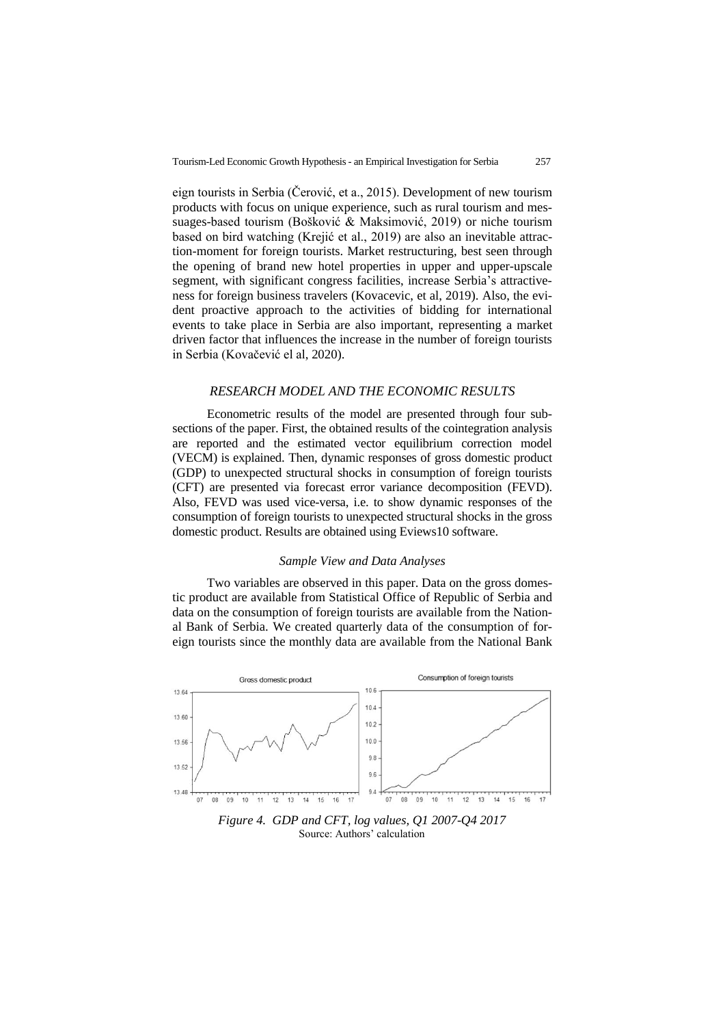eign tourists in Serbia (Čerović, et a., 2015). Development of new tourism products with focus on unique experience, such as rural tourism and messuages-based tourism (Bošković & Maksimović, 2019) or niche tourism based on bird watching (Krejić et al., 2019) are also an inevitable attraction-moment for foreign tourists. Market restructuring, best seen through the opening of brand new hotel properties in upper and upper-upscale segment, with significant congress facilities, increase Serbia's attractiveness for foreign business travelers (Kovacevic, et al, 2019). Also, the evident proactive approach to the activities of bidding for international events to take place in Serbia are also important, representing a market driven factor that influences the increase in the number of foreign tourists in Serbia (Kovačević el al, 2020).

#### *RESEARCH MODEL AND THE ECONOMIC RESULTS*

Econometric results of the model are presented through four subsections of the paper. First, the obtained results of the cointegration analysis are reported and the estimated vector equilibrium correction model (VECM) is explained. Then, dynamic responses of gross domestic product (GDP) to unexpected structural shocks in consumption of foreign tourists (CFT) are presented via forecast error variance decomposition (FEVD). Also, FEVD was used vice-versa, i.e. to show dynamic responses of the consumption of foreign tourists to unexpected structural shocks in the gross domestic product. Results are obtained using Eviews10 software.

#### *Sample View and Data Analyses*

Two variables are observed in this paper. Data on the gross domestic product are available from Statistical Office of Republic of Serbia and data on the consumption of foreign tourists are available from the National Bank of Serbia. We created quarterly data of the consumption of foreign tourists since the monthly data are available from the National Bank



*Figure 4. GDP and CFT, log values, Q1 2007-Q4 2017* Source: Authors' calculation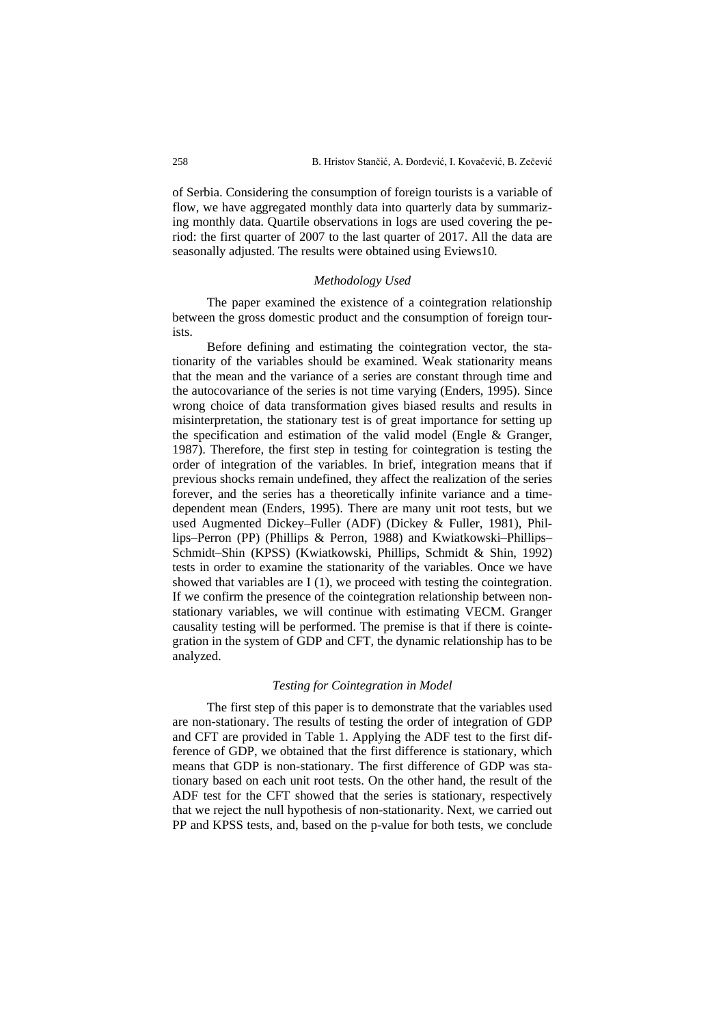of Serbia. Considering the consumption of foreign tourists is a variable of flow, we have aggregated monthly data into quarterly data by summarizing monthly data. Quartile observations in logs are used covering the period: the first quarter of 2007 to the last quarter of 2017. All the data are seasonally adjusted. The results were obtained using Eviews10.

#### *Methodology Used*

The paper examined the existence of a cointegration relationship between the gross domestic product and the consumption of foreign tourists.

Before defining and estimating the cointegration vector, the stationarity of the variables should be examined. Weak stationarity means that the mean and the variance of a series are constant through time and the autocovariance of the series is not time varying (Enders, 1995). Since wrong choice of data transformation gives biased results and results in misinterpretation, the stationary test is of great importance for setting up the specification and estimation of the valid model (Engle & Granger, 1987). Therefore, the first step in testing for cointegration is testing the order of integration of the variables. In brief, integration means that if previous shocks remain undefined, they affect the realization of the series forever, and the series has a theoretically infinite variance and a timedependent mean (Enders, 1995). There are many unit root tests, but we used Augmented Dickey–Fuller (ADF) (Dickey & Fuller, 1981), Phillips–Perron (PP) (Phillips & Perron, 1988) and Kwiatkowski–Phillips– Schmidt–Shin (KPSS) (Kwiatkowski, Phillips, Schmidt & Shin, 1992) tests in order to examine the stationarity of the variables. Once we have showed that variables are I (1), we proceed with testing the cointegration. If we confirm the presence of the cointegration relationship between nonstationary variables, we will continue with estimating VECM. Granger causality testing will be performed. The premise is that if there is cointegration in the system of GDP and CFT, the dynamic relationship has to be analyzed.

#### *Testing for Cointegration in Model*

The first step of this paper is to demonstrate that the variables used are non-stationary. The results of testing the order of integration of GDP and CFT are provided in Table 1. Applying the ADF test to the first difference of GDP, we obtained that the first difference is stationary, which means that GDP is non-stationary. The first difference of GDP was stationary based on each unit root tests. On the other hand, the result of the ADF test for the CFT showed that the series is stationary, respectively that we reject the null hypothesis of non-stationarity. Next, we carried out PP and KPSS tests, and, based on the p-value for both tests, we conclude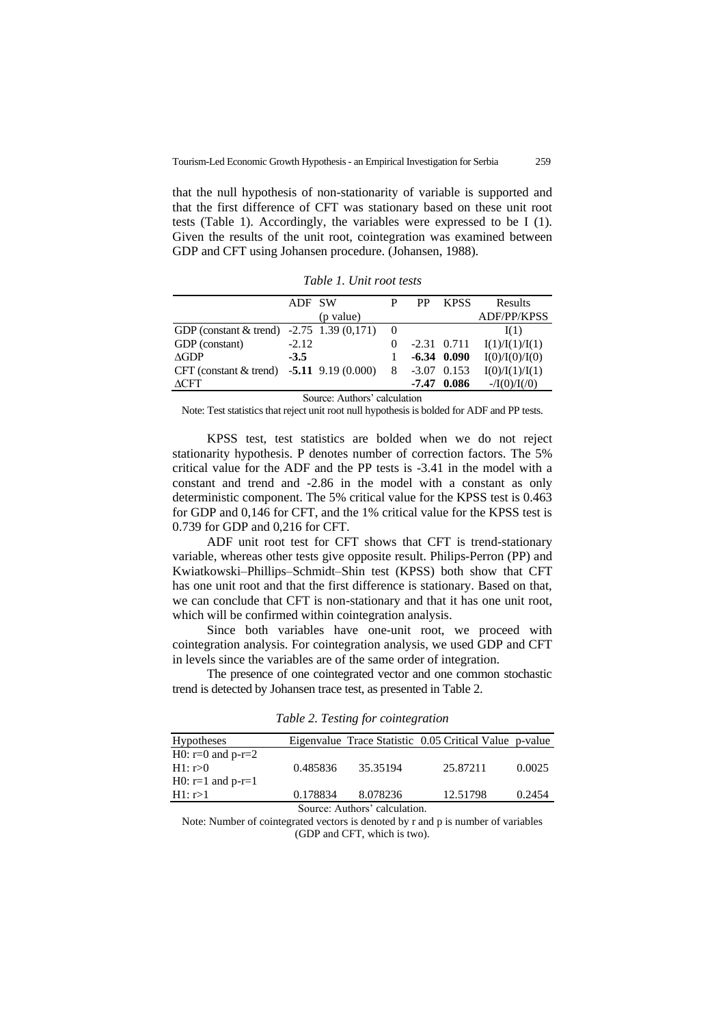that the null hypothesis of non-stationarity of variable is supported and that the first difference of CFT was stationary based on these unit root tests (Table 1). Accordingly, the variables were expressed to be I (1). Given the results of the unit root, cointegration was examined between GDP and CFT using Johansen procedure. (Johansen, 1988).

|                                               | ADF SW  |           | P        | PP    | <b>KPSS</b>   | Results            |
|-----------------------------------------------|---------|-----------|----------|-------|---------------|--------------------|
|                                               |         | (p value) |          |       |               | <b>ADF/PP/KPSS</b> |
| GDP (constant $&$ trend) $-2.75$ 1.39 (0,171) |         |           | $\Omega$ |       |               | I(1)               |
| GDP (constant)                                | $-2.12$ |           | $\theta$ |       | $-2.31$ 0.711 | I(1)/I(1)/I(1)     |
| AGDP                                          | $-3.5$  |           |          |       | $-6.34$ 0.090 | I(0)/I(0)/I(0)     |
| CFT (constant & trend) $-5.11$ 9.19 (0.000)   |         |           | 8        |       | $-3.07$ 0.153 | I(0)/I(1)/I(1)     |
| <b>ACFT</b>                                   |         |           |          | -7.47 | 0.086         | $-/[0]/I(0)$       |

*Table 1. Unit root tests*

Source: Authors' calculation

Note: Test statistics that reject unit root null hypothesis is bolded for ADF and PP tests.

KPSS test, test statistics are bolded when we do not reject stationarity hypothesis. P denotes number of correction factors. The 5% critical value for the ADF and the PP tests is -3.41 in the model with a constant and trend and -2.86 in the model with a constant as only deterministic component. The 5% critical value for the KPSS test is 0.463 for GDP and 0,146 for CFT, and the 1% critical value for the KPSS test is 0.739 for GDP and 0,216 for CFT.

ADF unit root test for CFT shows that CFT is trend-stationary variable, whereas other tests give opposite result. Philips-Perron (PP) and Kwiatkowski–Phillips–Schmidt–Shin test (KPSS) both show that CFT has one unit root and that the first difference is stationary. Based on that, we can conclude that CFT is non-stationary and that it has one unit root, which will be confirmed within cointegration analysis.

Since both variables have one-unit root, we proceed with cointegration analysis. For cointegration analysis, we used GDP and CFT in levels since the variables are of the same order of integration.

The presence of one cointegrated vector and one common stochastic trend is detected by Johansen trace test, as presented in Table 2.

| <b>Hypotheses</b>             |          |          | Eigenvalue Trace Statistic 0.05 Critical Value p-value |        |  |
|-------------------------------|----------|----------|--------------------------------------------------------|--------|--|
| H $0: r=0$ and $p-r=2$        |          |          |                                                        |        |  |
| H1: r > 0                     | 0.485836 | 35.35194 | 25.87211                                               | 0.0025 |  |
| H0: $r=1$ and $p-r=1$         |          |          |                                                        |        |  |
| H1: r>1                       | 0.178834 | 8.078236 | 12.51798                                               | 0.2454 |  |
| Source: Authors' calculation. |          |          |                                                        |        |  |

*Table 2. Testing for cointegration*

Note: Number of cointegrated vectors is denoted by r and p is number of variables (GDP and CFT, which is two).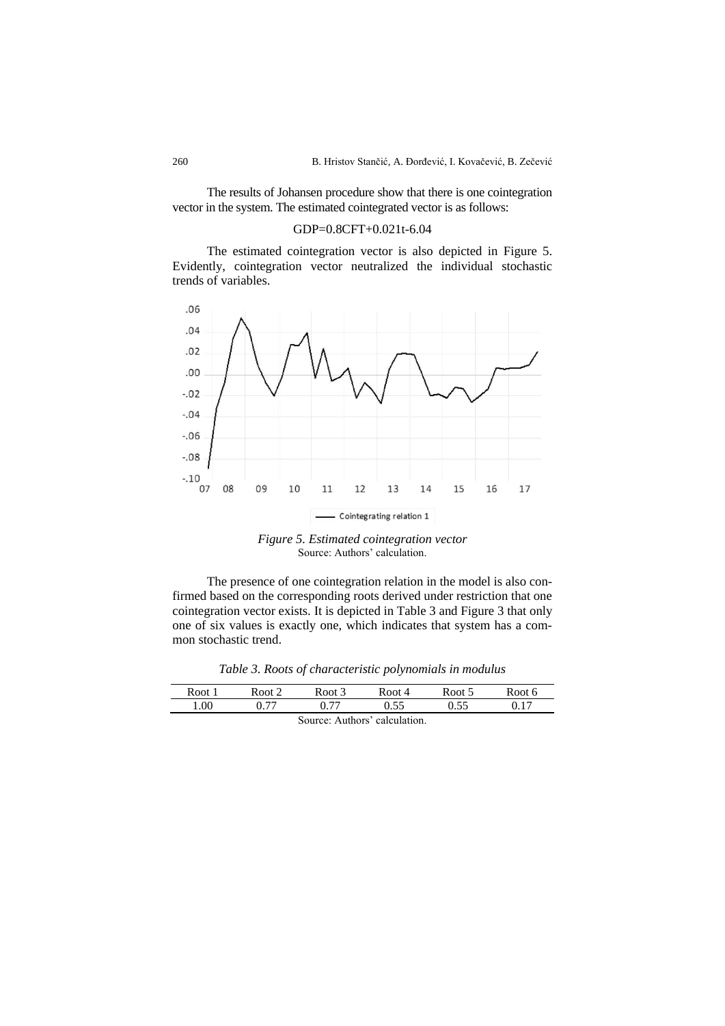The results of Johansen procedure show that there is one cointegration vector in the system. The estimated cointegrated vector is as follows:

#### GDP=0.8CFT+0.021t-6.04

The estimated cointegration vector is also depicted in Figure 5. Evidently, cointegration vector neutralized the individual stochastic trends of variables.



*Figure 5. Estimated cointegration vector* Source: Authors' calculation.

The presence of one cointegration relation in the model is also confirmed based on the corresponding roots derived under restriction that one cointegration vector exists. It is depicted in Table 3 and Figure 3 that only one of six values is exactly one, which indicates that system has a common stochastic trend.

*Table 3. Roots of characteristic polynomials in modulus*

| Root 1                        | Root 2 | Root 3 | Root 4 | Root 5 | Root 6 |
|-------------------------------|--------|--------|--------|--------|--------|
| 00.1                          | በ 77   | 0.77   | 0.55   | በ 55   |        |
| Source: Authors' calculation. |        |        |        |        |        |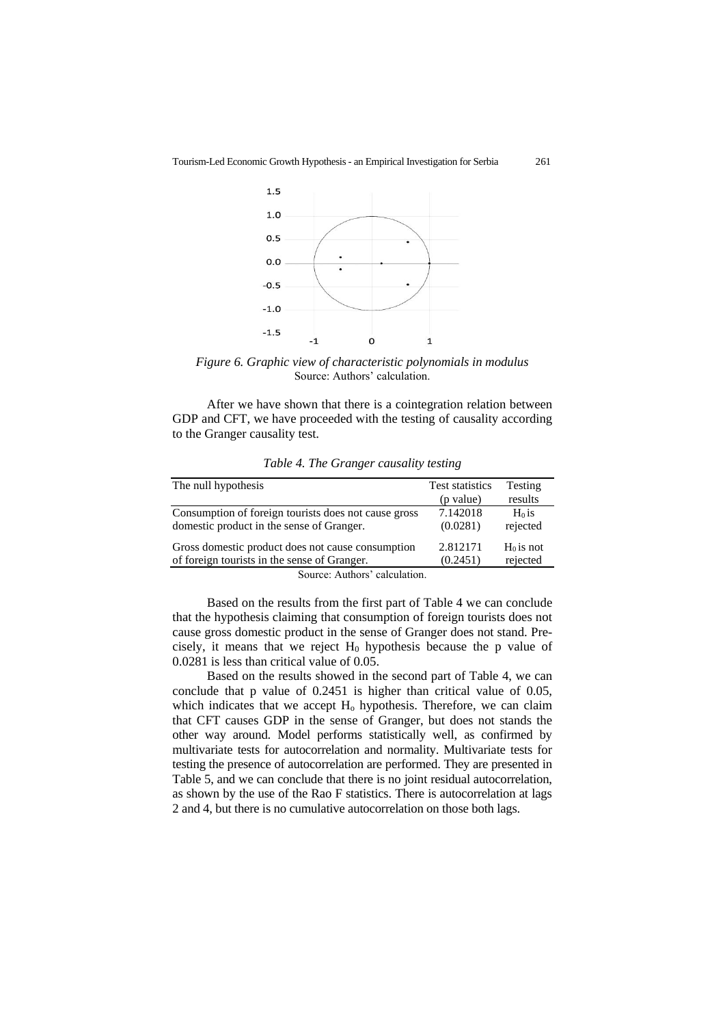

*Figure 6. Graphic view of characteristic polynomials in modulus* Source: Authors' calculation.

After we have shown that there is a cointegration relation between GDP and CFT, we have proceeded with the testing of causality according to the Granger causality test.

| The null hypothesis                                  | <b>Test statistics</b> | Testing     |  |  |
|------------------------------------------------------|------------------------|-------------|--|--|
|                                                      | (p value)              | results     |  |  |
| Consumption of foreign tourists does not cause gross | 7.142018               | $H0$ is     |  |  |
| domestic product in the sense of Granger.            | (0.0281)               | rejected    |  |  |
| Gross domestic product does not cause consumption    | 2.812171               | $H0$ is not |  |  |
| of foreign tourists in the sense of Granger.         | (0.2451)               | rejected    |  |  |
| Course Authors' coloulation                          |                        |             |  |  |

*Table 4. The Granger causality testing*

Source: Authors' calculation.

Based on the results from the first part of Table 4 we can conclude that the hypothesis claiming that consumption of foreign tourists does not cause gross domestic product in the sense of Granger does not stand. Precisely, it means that we reject  $H_0$  hypothesis because the p value of 0.0281 is less than critical value of 0.05.

Based on the results showed in the second part of Table 4, we can conclude that p value of 0.2451 is higher than critical value of 0.05, which indicates that we accept  $H_0$  hypothesis. Therefore, we can claim that CFT causes GDP in the sense of Granger, but does not stands the other way around. Model performs statistically well, as confirmed by multivariate tests for autocorrelation and normality. Multivariate tests for testing the presence of autocorrelation are performed. They are presented in Table 5, and we can conclude that there is no joint residual autocorrelation, as shown by the use of the Rao F statistics. There is autocorrelation at lags 2 and 4, but there is no cumulative autocorrelation on those both lags.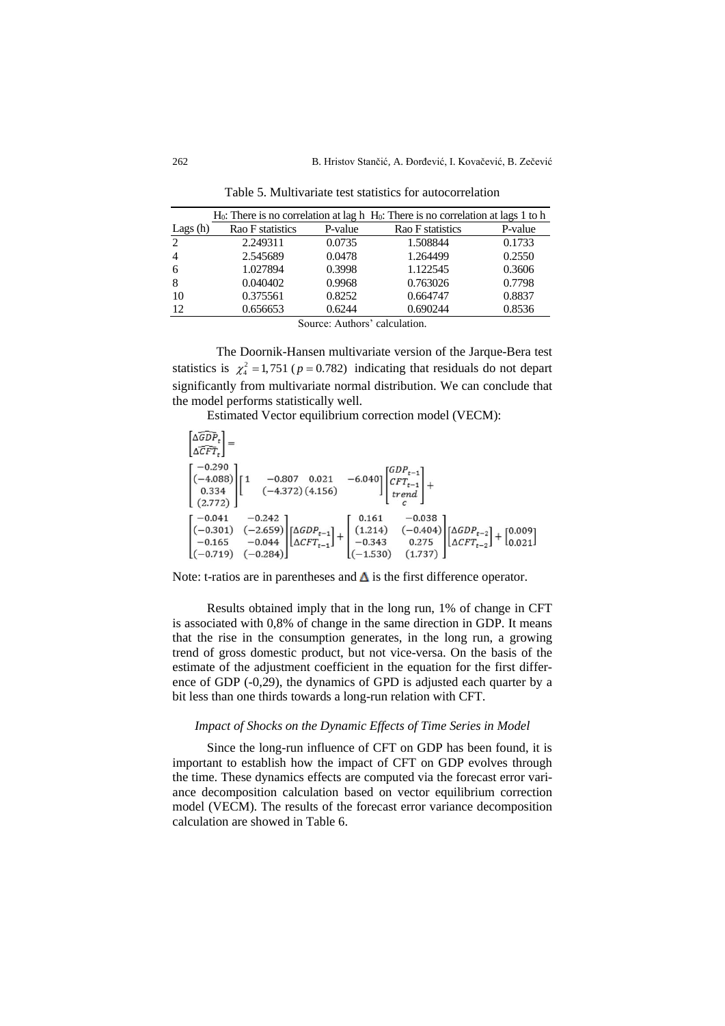|                               |                  |         | $H_0$ : There is no correlation at lag h $H_0$ : There is no correlation at lags 1 to h |         |  |  |
|-------------------------------|------------------|---------|-----------------------------------------------------------------------------------------|---------|--|--|
| Lags $(h)$                    | Rao F statistics | P-value | Rao F statistics                                                                        | P-value |  |  |
| 2                             | 2.249311         | 0.0735  | 1.508844                                                                                | 0.1733  |  |  |
| $\overline{4}$                | 2.545689         | 0.0478  | 1.264499                                                                                | 0.2550  |  |  |
| 6                             | 1.027894         | 0.3998  | 1.122545                                                                                | 0.3606  |  |  |
| 8                             | 0.040402         | 0.9968  | 0.763026                                                                                | 0.7798  |  |  |
| 10                            | 0.375561         | 0.8252  | 0.664747                                                                                | 0.8837  |  |  |
| 12                            | 0.656653         | 0.6244  | 0.690244                                                                                | 0.8536  |  |  |
| Source: Authors' calculation. |                  |         |                                                                                         |         |  |  |

Table 5. Multivariate test statistics for autocorrelation

The Doornik-Hansen multivariate version of the Jarque-Bera test statistics is  $\chi^2_4 = 1,751$  ( $p = 0.782$ ) indicating that residuals do not depart significantly from multivariate normal distribution. We can conclude that the model performs statistically well.

Estimated Vector equilibrium correction model (VECM):

 $\widehat{\triangle GDP}$ .  $\lfloor \Delta \widehat{CFT}_t \rfloor$  $-0.290$  $\begin{bmatrix} -0.290 \\ (-4.088) \\ 0.334 \\ (2.772) \end{bmatrix} \begin{bmatrix} 1 & -0.807 & 0.021 & -6.040 \\ (-4.372)(4.156) & \begin{bmatrix} GDP_{t-1} \\ CFT_{t-1} \\ trend \end{bmatrix} + \begin{bmatrix} 1 \\ CFT_{t-1} \\ tred \end{bmatrix} + \begin{bmatrix} 1 \\ 0 \\ 0 \end{bmatrix}$  $(2.772)$  $\begin{bmatrix} -0.242 \\ (-2.659) \\ -0.044 \\ (-0.284) \end{bmatrix} \begin{bmatrix} \Delta GDP_{t-1} \\ \Delta CFT_{t-1} \end{bmatrix} + \begin{bmatrix} 0.161 & -0.038 \\ (1.214) & (-0.404) \\ -0.343 & 0.275 \\ (-1.530) & (1.737) \end{bmatrix} \begin{bmatrix} \Delta GDP_{t-2} \\ \Delta CFT_{t-2} \end{bmatrix} + \begin{bmatrix} 0.009 \\ 0.021 \end{bmatrix}$  $-0.041$  $(-0.301)$  $-0.165$  $[(-0.719)$   $(-0.284)$ 

Note: t-ratios are in parentheses and  $\Delta$  is the first difference operator.

Results obtained imply that in the long run, 1% of change in CFT is associated with 0,8% of change in the same direction in GDP. It means that the rise in the consumption generates, in the long run, a growing trend of gross domestic product, but not vice-versa. On the basis of the estimate of the adjustment coefficient in the equation for the first difference of GDP (-0,29), the dynamics of GPD is adjusted each quarter by a bit less than one thirds towards a long-run relation with CFT.

## *Impact of Shocks on the Dynamic Effects of Time Series in Model*

Since the long-run influence of CFT on GDP has been found, it is important to establish how the impact of CFT on GDP evolves through the time. These dynamics effects are computed via the forecast error variance decomposition calculation based on vector equilibrium correction model (VECM). The results of the forecast error variance decomposition calculation are showed in Table 6.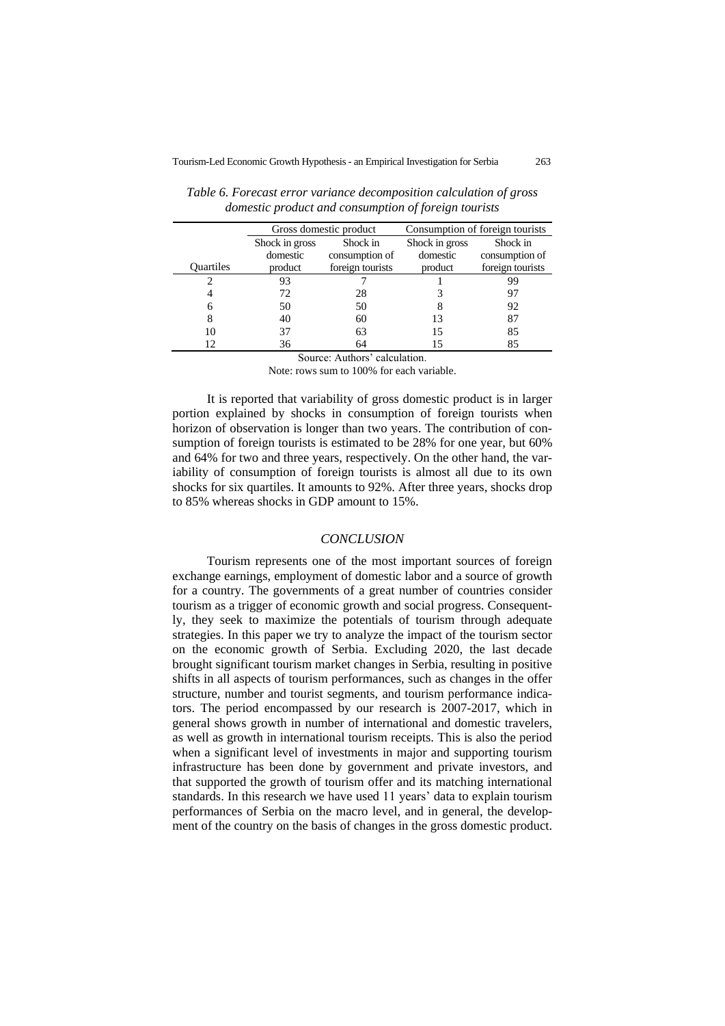|                  | Gross domestic product     |                  | Consumption of foreign tourists |                  |  |
|------------------|----------------------------|------------------|---------------------------------|------------------|--|
|                  | Shock in gross<br>Shock in |                  | Shock in gross                  | Shock in         |  |
|                  | domestic                   | consumption of   | domestic                        | consumption of   |  |
| <b>Ouartiles</b> | product                    | foreign tourists | product                         | foreign tourists |  |
|                  | 93                         |                  |                                 | 99               |  |
|                  | 72                         | 28               |                                 | 97               |  |
|                  | 50                         | 50               |                                 | 92               |  |
|                  | 40                         | 60               | 13                              | 87               |  |
| 10               | 37                         | 63               | 15                              | 85               |  |
| 12               | 36                         | 64               | 15                              | 85               |  |

*Table 6. Forecast error variance decomposition calculation of gross domestic product and consumption of foreign tourists*

Source: Authors' calculation.

Note: rows sum to 100% for each variable.

It is reported that variability of gross domestic product is in larger portion explained by shocks in consumption of foreign tourists when horizon of observation is longer than two years. The contribution of consumption of foreign tourists is estimated to be 28% for one year, but 60% and 64% for two and three years, respectively. On the other hand, the variability of consumption of foreign tourists is almost all due to its own shocks for six quartiles. It amounts to 92%. After three years, shocks drop to 85% whereas shocks in GDP amount to 15%.

#### *CONCLUSION*

Tourism represents one of the most important sources of foreign exchange earnings, employment of domestic labor and a source of growth for a country. The governments of a great number of countries consider tourism as a trigger of economic growth and social progress. Consequently, they seek to maximize the potentials of tourism through adequate strategies. In this paper we try to analyze the impact of the tourism sector on the economic growth of Serbia. Excluding 2020, the last decade brought significant tourism market changes in Serbia, resulting in positive shifts in all aspects of tourism performances, such as changes in the offer structure, number and tourist segments, and tourism performance indicators. The period encompassed by our research is 2007-2017, which in general shows growth in number of international and domestic travelers, as well as growth in international tourism receipts. This is also the period when a significant level of investments in major and supporting tourism infrastructure has been done by government and private investors, and that supported the growth of tourism offer and its matching international standards. In this research we have used 11 years' data to explain tourism performances of Serbia on the macro level, and in general, the development of the country on the basis of changes in the gross domestic product.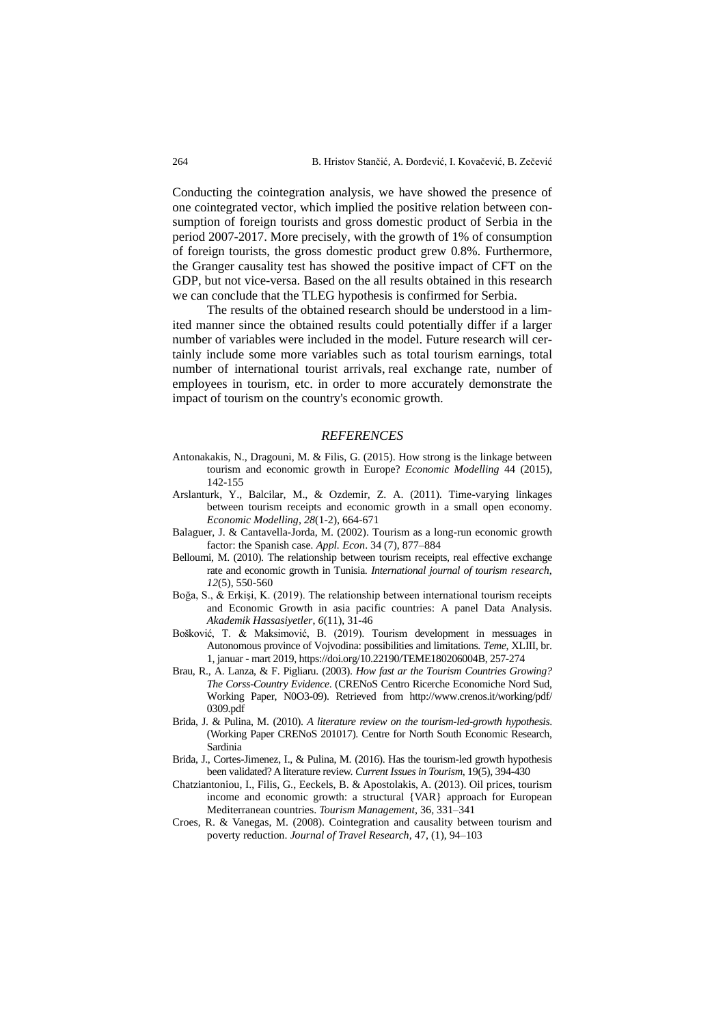Conducting the cointegration analysis, we have showed the presence of one cointegrated vector, which implied the positive relation between consumption of foreign tourists and gross domestic product of Serbia in the period 2007-2017. More precisely, with the growth of 1% of consumption of foreign tourists, the gross domestic product grew 0.8%. Furthermore, the Granger causality test has showed the positive impact of CFT on the GDP, but not vice-versa. Based on the all results obtained in this research we can conclude that the TLEG hypothesis is confirmed for Serbia.

The results of the obtained research should be understood in a limited manner since the obtained results could potentially differ if a larger number of variables were included in the model. Future research will certainly include some more variables such as total tourism earnings, total number of international tourist arrivals, real exchange rate, number of employees in tourism, etc. in order to more accurately demonstrate the impact of tourism on the country's economic growth.

#### *REFERENCES*

- Antonakakis, N., Dragouni, M. & Filis, G. (2015). How strong is the linkage between tourism and economic growth in Europe? *Economic Modelling* 44 (2015), 142-155
- Arslanturk, Y., Balcilar, M., & Ozdemir, Z. A. (2011). Time-varying linkages between tourism receipts and economic growth in a small open economy. *Economic Modelling*, *28*(1-2), 664-671
- Balaguer, J. & Cantavella-Jorda, M. (2002). Tourism as a long-run economic growth factor: the Spanish case*. Appl. Econ*. 34 (7), 877–884
- Belloumi, M. (2010). The relationship between tourism receipts, real effective exchange rate and economic growth in Tunisia. *International journal of tourism research*, *12*(5), 550-560
- Boğa, S., & Erkişi, K. (2019). The relationship between international tourism receipts and Economic Growth in asia pacific countries: A panel Data Analysis. *Akademik Hassasiyetler*, *6*(11), 31-46
- Bošković, T. & Maksimović, B. (2019). Tourism development in messuages in Autonomous province of Vojvodina: possibilities and limitations. *Teme*, XLIII, br. 1, januar - mart 2019, [https://doi.org/10.22190/TEME180206004B,](https://doi.org/10.22190/TEME180206004B) 257-274
- Brau, R., A. Lanza, & F. Pigliaru. (2003). *How fast ar the Tourism Countries Growing? The Corss-Country Evidence*. (CRENoS Centro Ricerche Economiche Nord Sud, Working Paper, N0O3-09). Retrieved from http://www.crenos.it/working/pdf/ 0309.pdf
- Brida, J. & Pulina, M. (2010). *A literature review on the tourism-led-growth hypothesis*. (Working Paper CRENoS 201017). Centre for North South Economic Research, Sardinia
- Brida, J., Cortes-Jimenez, I., & Pulina, M. (2016). Has the tourism-led growth hypothesis been validated? A literature review. *Current Issues in Tourism*, 19(5), 394-430
- Chatziantoniou, I., Filis, G., Eeckels, B. & Apostolakis, A. (2013). Oil prices, tourism income and economic growth: a structural {VAR} approach for European Mediterranean countries. *Tourism Management*, 36, 331–341
- Croes, R. & Vanegas, M. (2008). Cointegration and causality between tourism and poverty reduction. *Journal of Travel Research*, 47, (1), 94–103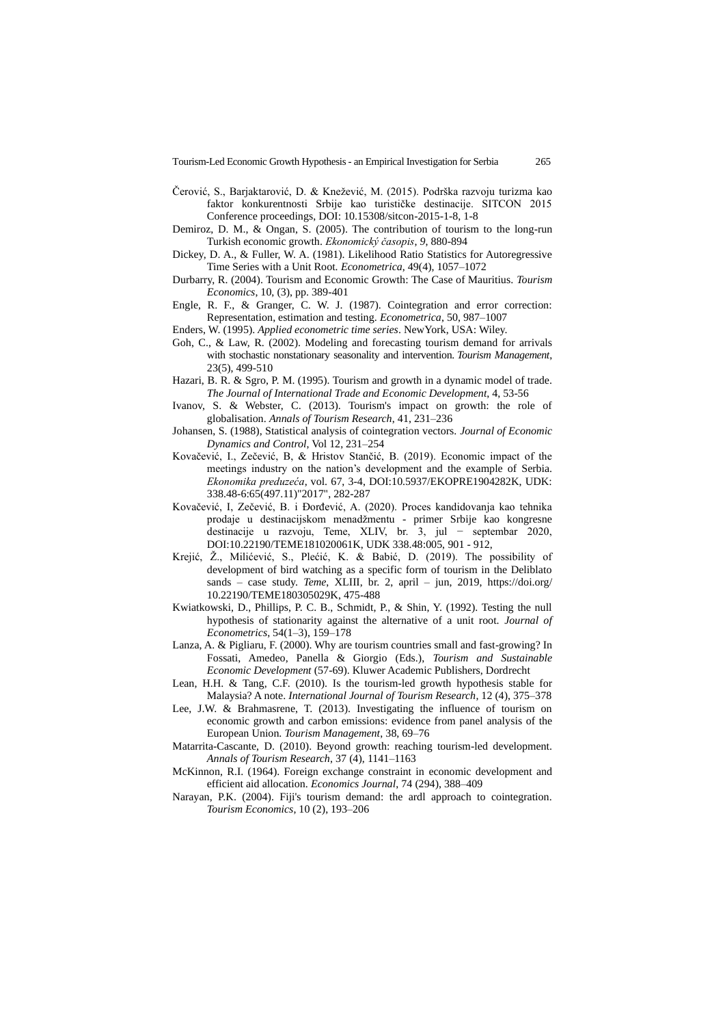- Čerović, S., Barjaktarović, D. & Knežević, M. (2015). Podrška razvoju turizma kao faktor konkurentnosti Srbije kao turističke destinacije. SITCON 2015 Conference proceedings, DOI: 10.15308/sitcon-2015-1-8, 1-8
- Demiroz, D. M., & Ongan, S. (2005). The contribution of tourism to the long-run Turkish economic growth. *Ekonomický časopis*, *9*, 880-894
- Dickey, D. A., & Fuller, W. A. (1981). Likelihood Ratio Statistics for Autoregressive Time Series with a Unit Root. *Econometrica*, 49(4), 1057–1072
- Durbarry, R. (2004). Tourism and Economic Growth: The Case of Mauritius. *Tourism Economics*, 10, (3), pp. 389-401
- Engle, R. F., & Granger, C. W. J. (1987). Cointegration and error correction: Representation, estimation and testing. *Econometrica*, 50, 987–1007
- Enders, W. (1995). *Applied econometric time series*. NewYork, USA: Wiley.
- Goh, C., & Law, R. (2002). Modeling and forecasting tourism demand for arrivals with stochastic nonstationary seasonality and intervention. *Tourism Management*, 23(5), 499-510
- Hazari, B. R. & Sgro, P. M. (1995). Tourism and growth in a dynamic model of trade. *The Journal of International Trade and Economic Development*, 4, 53-56
- Ivanov, S. & Webster, C. (2013). Tourism's impact on growth: the role of globalisation. *Annals of Tourism Research*, 41, 231–236
- Johansen, S. (1988), Statistical analysis of cointegration vectors. *Journal of Economic Dynamics and Control*, Vol 12, 231–254
- Kovačević, I., Zečević, B, & Hristov Stančić, B. (2019). Economic impact of the meetings industry on the nation's development and the example of Serbia. *Ekonomika preduzeća*, vol. 67, 3-4, DOI:10.5937/EKOPRE1904282K, UDK: 338.48-6:65(497.11)"2017", 282-287
- Kovačević, I, Zečević, B. i Đorđević, A. (2020). Proces kandidovanja kao tehnika prodaje u destinacijskom menadžmentu - primer Srbije kao kongresne destinacije u razvoju, Teme, XLIV, br. 3, jul − septembar 2020, DOI:10.22190/TEME181020061K, UDK 338.48:005, 901 - 912,
- Krejić, Ž., Milićević, S., Plećić, K. & Babić, D. (2019). The possibility of development of bird watching as a specific form of tourism in the Deliblato sands – case study. *Teme*, XLIII, br. 2, april – jun, 2019, [https://doi.org/](https://doi.org/10.22190/TEME180305029K) [10.22190/TEME180305029K,](https://doi.org/10.22190/TEME180305029K) 475-488
- Kwiatkowski, D., Phillips, P. C. B., Schmidt, P., & Shin, Y. (1992). Testing the null hypothesis of stationarity against the alternative of a unit root. *Journal of Econometrics*, 54(1–3), 159–178
- Lanza, A. & Pigliaru, F. (2000). Why are tourism countries small and fast-growing? In Fossati, Amedeo, Panella & Giorgio (Eds.), *Tourism and Sustainable Economic Development* (57-69). Kluwer Academic Publishers, Dordrecht
- Lean, H.H. & Tang, C.F. (2010). Is the tourism-led growth hypothesis stable for Malaysia? A note. *International Journal of Tourism Research*, 12 (4), 375–378
- Lee, J.W. & Brahmasrene, T. (2013). Investigating the influence of tourism on economic growth and carbon emissions: evidence from panel analysis of the European Union. *Tourism Management*, 38, 69–76
- Matarrita-Cascante, D. (2010). Beyond growth: reaching tourism-led development. *Annals of Tourism Research*, 37 (4), 1141–1163
- McKinnon, R.I. (1964). Foreign exchange constraint in economic development and efficient aid allocation. *Economics Journal*, 74 (294), 388–409
- Narayan, P.K. (2004). Fiji's tourism demand: the ardl approach to cointegration. *Tourism Economics*, 10 (2), 193–206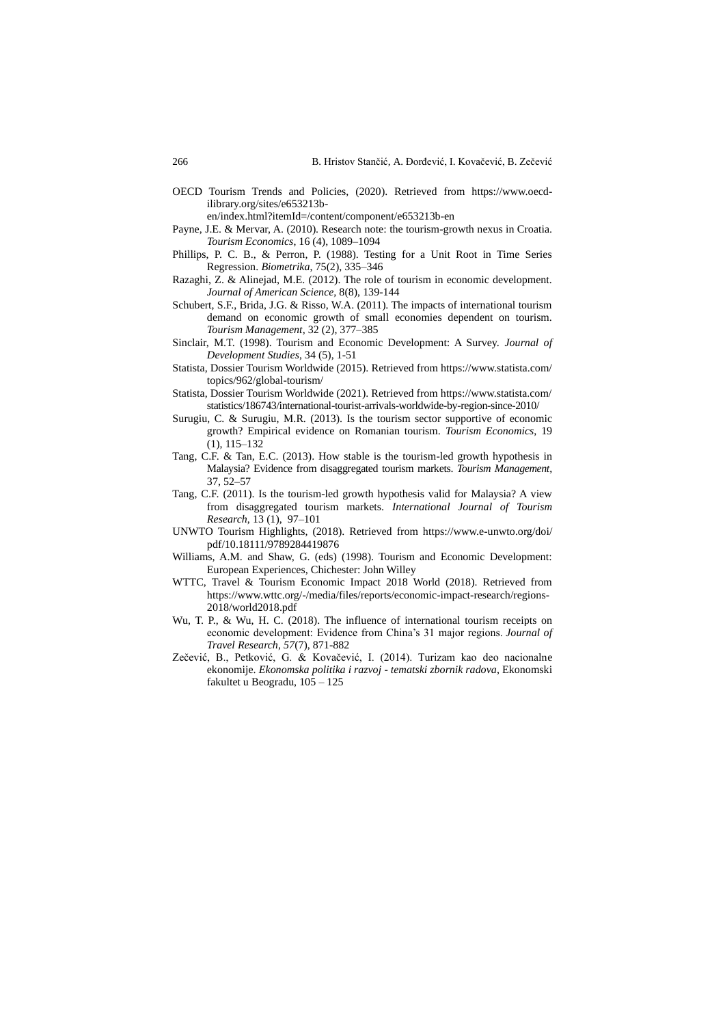[OECD Tourism Trends and Policies, \(2020\)](https://doi.org/10.1787/6b47b985-en). Retrieved from https://www.oecdilibrary.org/sites/e653213b-

en/index.html?itemId=/content/component/e653213b-en

- Payne, J.E. & Mervar, A. (2010). Research note: the tourism-growth nexus in Croatia. *Tourism Economics*, 16 (4), 1089–1094
- Phillips, P. C. B., & Perron, P. (1988). Testing for a Unit Root in Time Series Regression. *Biometrika*, 75(2), 335–346
- Razaghi, Z. & Alinejad, M.E. (2012). The role of tourism in economic development. *Journal of American Science,* 8(8), 139-144
- Schubert, S.F., Brida, J.G. & Risso, W.A. (2011). The impacts of international tourism demand on economic growth of small economies dependent on tourism. *Tourism Management*, 32 (2), 377–385
- Sinclair, M.T. (1998). Tourism and Economic Development: A Survey. *Journal of Development Studies*, 34 (5), 1-51
- Statista, Dossier Tourism Worldwide (2015). Retrieved from https://www.statista.com/ topics/962/global-tourism/
- Statista, Dossier Tourism Worldwide (2021). Retrieved from https://www.statista.com/ statistics/186743/international-tourist-arrivals-worldwide-by-region-since-2010/
- Surugiu, C. & Surugiu, M.R. (2013). Is the tourism sector supportive of economic growth? Empirical evidence on Romanian tourism. *Tourism Economics*, 19 (1), 115–132
- Tang, C.F. & Tan, E.C. (2013). How stable is the tourism-led growth hypothesis in Malaysia? Evidence from disaggregated tourism markets. *Tourism Management*, 37, 52–57
- Tang, C.F. (2011). Is the tourism-led growth hypothesis valid for Malaysia? A view from disaggregated tourism markets. *International Journal of Tourism Research*, 13 (1), 97–101
- UNWTO Tourism Highlights, (2018). Retrieved from https://www.e-unwto.org/doi/ pdf/10.18111/9789284419876
- Williams, A.M. and Shaw, G. (eds) (1998). Tourism and Economic Development: European Experiences, Chichester: John Willey
- WTTC, Travel & Tourism Economic Impact 2018 World (2018). Retrieved from [https://www.wttc.org/-/media/files/reports/economic-impact-research/regions-](https://www.wttc.org/-/media/files/reports/economic-impact-research/regions-2018/world2018.pdf)[2018/world2018.pdf](https://www.wttc.org/-/media/files/reports/economic-impact-research/regions-2018/world2018.pdf)
- Wu, T. P., & Wu, H. C. (2018). The influence of international tourism receipts on economic development: Evidence from China's 31 major regions. *Journal of Travel Research*, *57*(7), 871-882
- Zečević, B., Petković, G. & Kovačević, I. (2014). Turizam kao deo nacionalne ekonomije. *Ekonomska politika i razvoj - tematski zbornik radova*, Ekonomski fakultet u Beogradu, 105 – 125